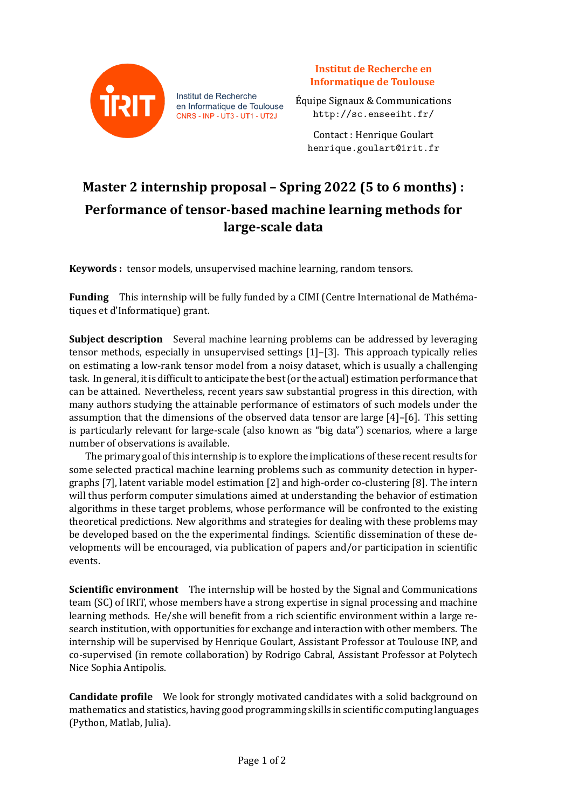

Institut de Recherche en Informatique de Toulouse CNRS - INP - UT3 - UT1 - UT2J

**Institut de Recherche en Informatique de Toulouse**

Équipe Signaux & Communications http://sc.enseeiht.fr/

> Contact : Henrique Goulart henrique.goulart@irit.fr

## **Master 2 internship proposal – Spring 2022 (5 to 6 months) : Performance of tensor-based machine learning methods for large-scale data**

**Keywords :** tensor models, unsupervised machine learning, random tensors.

**Funding** This internship will be fully funded by a CIMI (Centre International de Mathématiques et d'Informatique) grant.

**Subject description** Several machine learning problems can be addressed by leveraging tensor methods, especially in unsupervised settings [1]–[3]. This approach typically relies on estimating a low-rank tensor model from a noisy dataset, which is usually a challenging task. In general, it is difficult to anticipate the best (or the actual) estimation performance that can be attained. Nevertheless, recent years saw substantial progress in this direction, with many authors studying the attainable performance of estimators of such models under the assumption that the dimensions of the observed data tensor are large [4]–[6]. This setting is particularly relevant for large-scale (also known as "big data") scenarios, where a large number of observations is available.

The primary goal of this internship is to explore the implications of these recent results for some selected practical machine learning problems such as community detection in hypergraphs [7], latent variable model estimation [2] and high-order co-clustering [8]. The intern will thus perform computer simulations aimed at understanding the behavior of estimation algorithms in these target problems, whose performance will be confronted to the existing theoretical predictions. New algorithms and strategies for dealing with these problems may be developed based on the the experimental findings. Scientific dissemination of these developments will be encouraged, via publication of papers and/or participation in scientific events.

**Scientific environment** The internship will be hosted by the Signal and Communications team (SC) of IRIT, whose members have a strong expertise in signal processing and machine learning methods. He/she will benefit from a rich scientific environment within a large research institution, with opportunities for exchange and interaction with other members. The internship will be supervised by Henrique Goulart, Assistant Professor at Toulouse INP, and co-supervised (in remote collaboration) by Rodrigo Cabral, Assistant Professor at Polytech Nice Sophia Antipolis.

**Candidate profile** We look for strongly motivated candidates with a solid background on mathematics and statistics, having good programming skills in scientific computing languages (Python, Matlab, Julia).